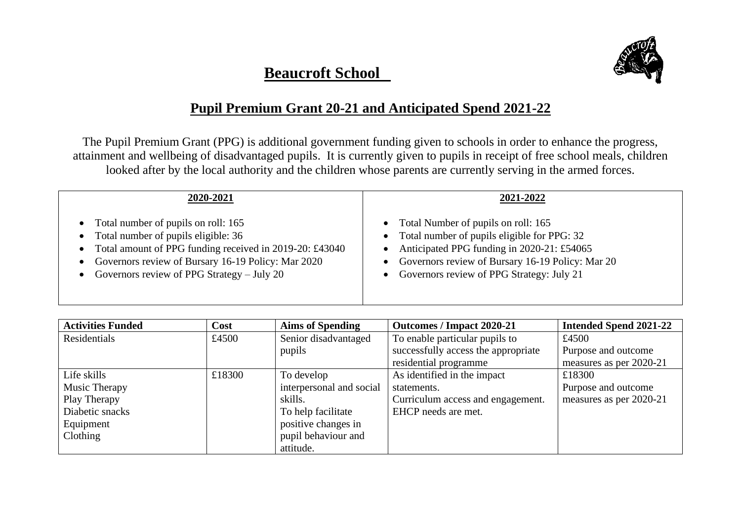## **Beaucroft School**



## **Pupil Premium Grant 20-21 and Anticipated Spend 2021-22**

The Pupil Premium Grant (PPG) is additional government funding given to schools in order to enhance the progress, attainment and wellbeing of disadvantaged pupils. It is currently given to pupils in receipt of free school meals, children looked after by the local authority and the children whose parents are currently serving in the armed forces.

| 2020-2021                                                                                                                                                                                                                                           | 2021-2022                                                                                                                                                                                                                                              |
|-----------------------------------------------------------------------------------------------------------------------------------------------------------------------------------------------------------------------------------------------------|--------------------------------------------------------------------------------------------------------------------------------------------------------------------------------------------------------------------------------------------------------|
| • Total number of pupils on roll: 165<br>• Total number of pupils eligible: 36<br>• Total amount of PPG funding received in 2019-20: £43040<br>Governors review of Bursary 16-19 Policy: Mar 2020<br>• Governors review of PPG Strategy $-$ July 20 | • Total Number of pupils on roll: 165<br>• Total number of pupils eligible for PPG: 32<br>• Anticipated PPG funding in 2020-21: £54065<br>Governors review of Bursary 16-19 Policy: Mar 20<br>$\bullet$<br>• Governors review of PPG Strategy: July 21 |

| <b>Activities Funded</b> | Cost   | <b>Aims of Spending</b>  | Outcomes / Impact 2020-21           | <b>Intended Spend 2021-22</b> |
|--------------------------|--------|--------------------------|-------------------------------------|-------------------------------|
| Residentials             | £4500  | Senior disadvantaged     | To enable particular pupils to      | £4500                         |
|                          |        | pupils                   | successfully access the appropriate | Purpose and outcome           |
|                          |        |                          | residential programme               | measures as per 2020-21       |
| Life skills              | £18300 | To develop               | As identified in the impact         | £18300                        |
| Music Therapy            |        | interpersonal and social | statements.                         | Purpose and outcome           |
| Play Therapy             |        | skills.                  | Curriculum access and engagement.   | measures as per 2020-21       |
| Diabetic snacks          |        | To help facilitate       | EHCP needs are met.                 |                               |
| Equipment                |        | positive changes in      |                                     |                               |
| Clothing                 |        | pupil behaviour and      |                                     |                               |
|                          |        | attitude.                |                                     |                               |